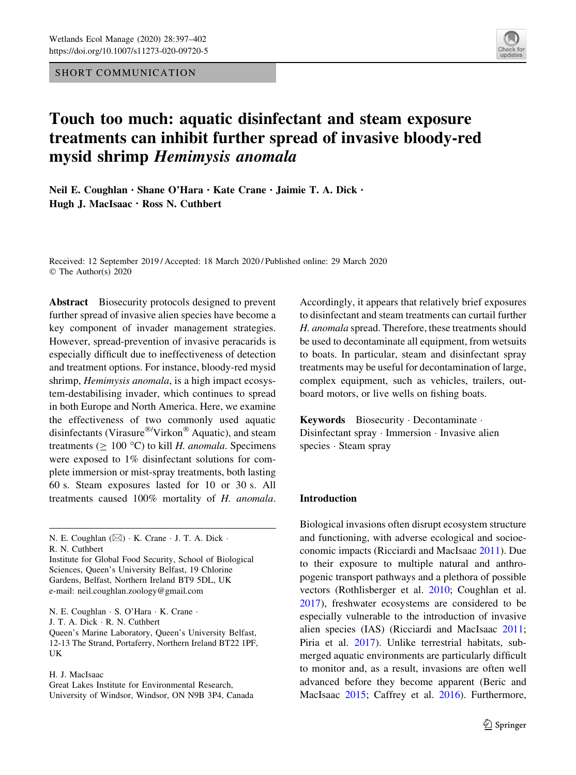SHORT COMMUNICATION



# Touch too much: aquatic disinfectant and steam exposure treatments can inhibit further spread of invasive bloody-red mysid shrimp Hemimysis anomala

Neil E. Coughlan · Shane O'Hara · Kate Crane · Jaimie T. A. Dick · Hugh J. MacIsaac · Ross N. Cuthbert

Received: 12 September 2019 / Accepted: 18 March 2020 / Published online: 29 March 2020 © The Author(s) 2020

Abstract Biosecurity protocols designed to prevent further spread of invasive alien species have become a key component of invader management strategies. However, spread-prevention of invasive peracarids is especially difficult due to ineffectiveness of detection and treatment options. For instance, bloody-red mysid shrimp, Hemimysis anomala, is a high impact ecosystem-destabilising invader, which continues to spread in both Europe and North America. Here, we examine the effectiveness of two commonly used aquatic disinfectants (Virasure®/Virkon® Aquatic), and steam treatments ( $> 100$  °C) to kill *H. anomala*. Specimens were exposed to 1% disinfectant solutions for complete immersion or mist-spray treatments, both lasting 60 s. Steam exposures lasted for 10 or 30 s. All treatments caused 100% mortality of H. anomala.

Institute for Global Food Security, School of Biological Sciences, Queen's University Belfast, 19 Chlorine Gardens, Belfast, Northern Ireland BT9 5DL, UK e-mail: neil.coughlan.zoology@gmail.com

N. E. Coughlan · S. O'Hara · K. Crane · J. T. A. Dick - R. N. Cuthbert

Queen's Marine Laboratory, Queen's University Belfast, 12-13 The Strand, Portaferry, Northern Ireland BT22 1PF, UK

#### H. J. MacIsaac

Great Lakes Institute for Environmental Research, University of Windsor, Windsor, ON N9B 3P4, Canada Accordingly, it appears that relatively brief exposures to disinfectant and steam treatments can curtail further H. anomala spread. Therefore, these treatments should be used to decontaminate all equipment, from wetsuits to boats. In particular, steam and disinfectant spray treatments may be useful for decontamination of large, complex equipment, such as vehicles, trailers, outboard motors, or live wells on fishing boats.

Keywords Biosecurity - Decontaminate - Disinfectant spray - Immersion - Invasive alien species - Steam spray

## Introduction

Biological invasions often disrupt ecosystem structure and functioning, with adverse ecological and socioeconomic impacts (Ricciardi and MacIsaac [2011](#page-5-0)). Due to their exposure to multiple natural and anthropogenic transport pathways and a plethora of possible vectors (Rothlisberger et al. [2010](#page-5-0); Coughlan et al. [2017\)](#page-4-0), freshwater ecosystems are considered to be especially vulnerable to the introduction of invasive alien species (IAS) (Ricciardi and MacIsaac [2011](#page-5-0); Piria et al. [2017\)](#page-5-0). Unlike terrestrial habitats, submerged aquatic environments are particularly difficult to monitor and, as a result, invasions are often well advanced before they become apparent (Beric and MacIsaac [2015;](#page-4-0) Caffrey et al. [2016](#page-4-0)). Furthermore,

N. E. Coughlan (⊠) · K. Crane · J. T. A. Dick · R. N. Cuthbert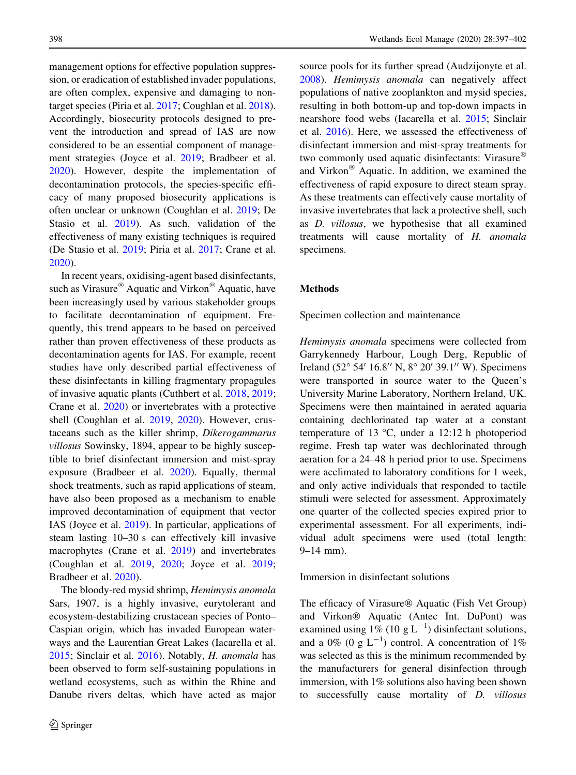management options for effective population suppression, or eradication of established invader populations, are often complex, expensive and damaging to nontarget species (Piria et al. [2017;](#page-5-0) Coughlan et al. [2018](#page-4-0)). Accordingly, biosecurity protocols designed to prevent the introduction and spread of IAS are now considered to be an essential component of management strategies (Joyce et al. [2019](#page-5-0); Bradbeer et al. [2020\)](#page-4-0). However, despite the implementation of decontamination protocols, the species-specific efficacy of many proposed biosecurity applications is often unclear or unknown (Coughlan et al. [2019](#page-4-0); De Stasio et al. [2019](#page-5-0)). As such, validation of the effectiveness of many existing techniques is required (De Stasio et al. [2019](#page-5-0); Piria et al. [2017](#page-5-0); Crane et al. [2020\)](#page-5-0).

In recent years, oxidising-agent based disinfectants, such as Virasure<sup>®</sup> Aquatic and Virkon<sup>®</sup> Aquatic, have been increasingly used by various stakeholder groups to facilitate decontamination of equipment. Frequently, this trend appears to be based on perceived rather than proven effectiveness of these products as decontamination agents for IAS. For example, recent studies have only described partial effectiveness of these disinfectants in killing fragmentary propagules of invasive aquatic plants (Cuthbert et al. [2018](#page-5-0), [2019](#page-5-0); Crane et al. [2020](#page-5-0)) or invertebrates with a protective shell (Coughlan et al. [2019](#page-4-0), [2020\)](#page-4-0). However, crustaceans such as the killer shrimp, Dikerogammarus villosus Sowinsky, 1894, appear to be highly susceptible to brief disinfectant immersion and mist-spray exposure (Bradbeer et al. [2020](#page-4-0)). Equally, thermal shock treatments, such as rapid applications of steam, have also been proposed as a mechanism to enable improved decontamination of equipment that vector IAS (Joyce et al. [2019](#page-5-0)). In particular, applications of steam lasting 10–30 s can effectively kill invasive macrophytes (Crane et al. [2019](#page-5-0)) and invertebrates (Coughlan et al. [2019](#page-4-0), [2020;](#page-4-0) Joyce et al. [2019](#page-5-0); Bradbeer et al. [2020\)](#page-4-0).

The bloody-red mysid shrimp, Hemimysis anomala Sars, 1907, is a highly invasive, eurytolerant and ecosystem-destabilizing crustacean species of Ponto– Caspian origin, which has invaded European waterways and the Laurentian Great Lakes (Iacarella et al. [2015;](#page-5-0) Sinclair et al. [2016\)](#page-5-0). Notably, H. anomala has been observed to form self-sustaining populations in wetland ecosystems, such as within the Rhine and Danube rivers deltas, which have acted as major source pools for its further spread (Audzijonyte et al. [2008\)](#page-4-0). Hemimysis anomala can negatively affect populations of native zooplankton and mysid species, resulting in both bottom-up and top-down impacts in nearshore food webs (Iacarella et al. [2015](#page-5-0); Sinclair et al. [2016\)](#page-5-0). Here, we assessed the effectiveness of disinfectant immersion and mist-spray treatments for two commonly used aquatic disinfectants: Virasure<sup>®</sup> and Virkon $^{\circledR}$  Aquatic. In addition, we examined the effectiveness of rapid exposure to direct steam spray. As these treatments can effectively cause mortality of invasive invertebrates that lack a protective shell, such as D. villosus, we hypothesise that all examined treatments will cause mortality of H. anomala specimens.

#### Methods

#### Specimen collection and maintenance

Hemimysis anomala specimens were collected from Garrykennedy Harbour, Lough Derg, Republic of Ireland (52 $\degree$  54' 16.8" N, 8 $\degree$  20' 39.1" W). Specimens were transported in source water to the Queen's University Marine Laboratory, Northern Ireland, UK. Specimens were then maintained in aerated aquaria containing dechlorinated tap water at a constant temperature of 13  $\degree$ C, under a 12:12 h photoperiod regime. Fresh tap water was dechlorinated through aeration for a 24–48 h period prior to use. Specimens were acclimated to laboratory conditions for 1 week, and only active individuals that responded to tactile stimuli were selected for assessment. Approximately one quarter of the collected species expired prior to experimental assessment. For all experiments, individual adult specimens were used (total length: 9–14 mm).

## Immersion in disinfectant solutions

The efficacy of Virasure<sup>®</sup> Aquatic (Fish Vet Group) and Virkon® Aquatic (Antec Int. DuPont) was examined using  $1\%$  (10 g L<sup>-1</sup>) disinfectant solutions, and a 0% (0 g L<sup>-1</sup>) control. A concentration of 1% was selected as this is the minimum recommended by the manufacturers for general disinfection through immersion, with 1% solutions also having been shown to successfully cause mortality of D. villosus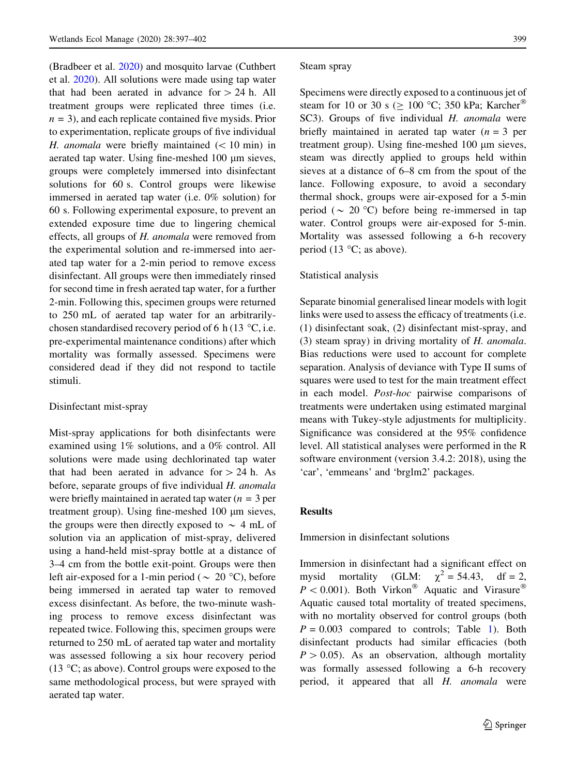(Bradbeer et al. [2020\)](#page-4-0) and mosquito larvae (Cuthbert et al. [2020\)](#page-5-0). All solutions were made using tap water that had been aerated in advance for  $> 24$  h. All treatment groups were replicated three times (i.e.  $n = 3$ , and each replicate contained five mysids. Prior to experimentation, replicate groups of five individual H. anomala were briefly maintained  $(< 10$  min) in aerated tap water. Using fine-meshed 100 µm sieves, groups were completely immersed into disinfectant solutions for 60 s. Control groups were likewise immersed in aerated tap water (i.e. 0% solution) for 60 s. Following experimental exposure, to prevent an extended exposure time due to lingering chemical effects, all groups of H. anomala were removed from the experimental solution and re-immersed into aerated tap water for a 2-min period to remove excess disinfectant. All groups were then immediately rinsed for second time in fresh aerated tap water, for a further 2-min. Following this, specimen groups were returned to 250 mL of aerated tap water for an arbitrarilychosen standardised recovery period of 6 h (13  $^{\circ}$ C, i.e. pre-experimental maintenance conditions) after which mortality was formally assessed. Specimens were considered dead if they did not respond to tactile stimuli.

## Disinfectant mist-spray

Mist-spray applications for both disinfectants were examined using 1% solutions, and a 0% control. All solutions were made using dechlorinated tap water that had been aerated in advance for  $> 24$  h. As before, separate groups of five individual H. anomala were briefly maintained in aerated tap water  $(n = 3$  per treatment group). Using fine-meshed 100  $\mu$ m sieves, the groups were then directly exposed to  $\sim$  4 mL of solution via an application of mist-spray, delivered using a hand-held mist-spray bottle at a distance of 3–4 cm from the bottle exit-point. Groups were then left air-exposed for a 1-min period ( $\sim 20$  °C), before being immersed in aerated tap water to removed excess disinfectant. As before, the two-minute washing process to remove excess disinfectant was repeated twice. Following this, specimen groups were returned to 250 mL of aerated tap water and mortality was assessed following a six hour recovery period (13 $\degree$ C; as above). Control groups were exposed to the same methodological process, but were sprayed with aerated tap water.

#### Steam spray

Specimens were directly exposed to a continuous jet of steam for 10 or 30 s ( $\geq 100$  °C; 350 kPa; Karcher<sup>®</sup> SC3). Groups of five individual H. anomala were briefly maintained in aerated tap water  $(n = 3$  per treatment group). Using fine-meshed 100  $\mu$ m sieves, steam was directly applied to groups held within sieves at a distance of 6–8 cm from the spout of the lance. Following exposure, to avoid a secondary thermal shock, groups were air-exposed for a 5-min period ( $\sim$  20 °C) before being re-immersed in tap water. Control groups were air-exposed for 5-min. Mortality was assessed following a 6-h recovery period (13 $\degree$ C; as above).

#### Statistical analysis

Separate binomial generalised linear models with logit links were used to assess the efficacy of treatments (i.e. (1) disinfectant soak, (2) disinfectant mist-spray, and (3) steam spray) in driving mortality of H. anomala. Bias reductions were used to account for complete separation. Analysis of deviance with Type II sums of squares were used to test for the main treatment effect in each model. Post-hoc pairwise comparisons of treatments were undertaken using estimated marginal means with Tukey-style adjustments for multiplicity. Significance was considered at the 95% confidence level. All statistical analyses were performed in the R software environment (version 3.4.2: 2018), using the 'car', 'emmeans' and 'brglm2' packages.

# Results

Immersion in disinfectant solutions

Immersion in disinfectant had a significant effect on mysid mortality (GLM:  $\chi^2 = 54.43$ , df = 2,  $P < 0.001$ ). Both Virkon<sup>®</sup> Aquatic and Virasure<sup>®</sup> Aquatic caused total mortality of treated specimens, with no mortality observed for control groups (both  $P = 0.003$  compared to controls; Table [1\)](#page-3-0). Both disinfectant products had similar efficacies (both  $P > 0.05$ ). As an observation, although mortality was formally assessed following a 6-h recovery period, it appeared that all H. anomala were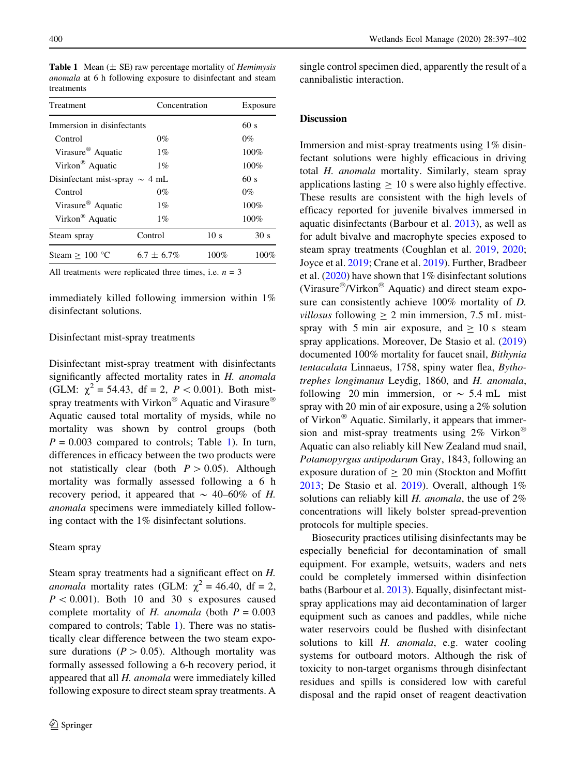<span id="page-3-0"></span>**Table 1** Mean  $(\pm \text{ SE})$  raw percentage mortality of *Hemimysis* anomala at 6 h following exposure to disinfectant and steam treatments

| Treatment                           | Concentration   |                 | Exposure        |
|-------------------------------------|-----------------|-----------------|-----------------|
| Immersion in disinfectants          |                 |                 | 60 s            |
| Control                             | $0\%$           |                 | $0\%$           |
| Virasure <sup>®</sup> Aquatic       | $1\%$           |                 | 100%            |
| Virkon <sup>®</sup> Aquatic         | $1\%$           |                 | 100%            |
| Disinfectant mist-spray $\sim$ 4 mL |                 |                 | 60 s            |
| Control                             | $0\%$           |                 | $0\%$           |
| Virasure <sup>®</sup> Aquatic       | $1\%$           |                 | 100%            |
| Virkon <sup>®</sup> Aquatic         | $1\%$           |                 | 100%            |
| Steam spray                         | Control         | 10 <sub>s</sub> | 30 <sub>s</sub> |
| Steam $\geq 100$ °C                 | $6.7 \pm 6.7\%$ | 100%            | 100%            |
|                                     |                 |                 |                 |

All treatments were replicated three times, i.e.  $n = 3$ 

immediately killed following immersion within 1% disinfectant solutions.

#### Disinfectant mist-spray treatments

Disinfectant mist-spray treatment with disinfectants significantly affected mortality rates in H. anomala (GLM:  $\chi^2 = 54.43$ , df = 2,  $P < 0.001$ ). Both mistspray treatments with Virkon<sup>®</sup> Aquatic and Virasure<sup>®</sup> Aquatic caused total mortality of mysids, while no mortality was shown by control groups (both  $P = 0.003$  compared to controls; Table 1). In turn, differences in efficacy between the two products were not statistically clear (both  $P > 0.05$ ). Although mortality was formally assessed following a 6 h recovery period, it appeared that  $\sim 40{\text -}60\%$  of H. anomala specimens were immediately killed following contact with the 1% disinfectant solutions.

## Steam spray

Steam spray treatments had a significant effect on H. anomala mortality rates (GLM:  $\chi^2$  = 46.40, df = 2,  $P < 0.001$ ). Both 10 and 30 s exposures caused complete mortality of H. anomala (both  $P = 0.003$ ) compared to controls; Table 1). There was no statistically clear difference between the two steam exposure durations ( $P > 0.05$ ). Although mortality was formally assessed following a 6-h recovery period, it appeared that all H. anomala were immediately killed following exposure to direct steam spray treatments. A single control specimen died, apparently the result of a cannibalistic interaction.

## Discussion

Immersion and mist-spray treatments using 1% disinfectant solutions were highly efficacious in driving total H. anomala mortality. Similarly, steam spray applications lasting  $\geq 10$  s were also highly effective. These results are consistent with the high levels of efficacy reported for juvenile bivalves immersed in aquatic disinfectants (Barbour et al. [2013\)](#page-4-0), as well as for adult bivalve and macrophyte species exposed to steam spray treatments (Coughlan et al. [2019,](#page-4-0) [2020](#page-4-0); Joyce et al. [2019](#page-5-0); Crane et al. [2019\)](#page-5-0). Further, Bradbeer et al. [\(2020](#page-4-0)) have shown that 1% disinfectant solutions (Virasure $\mathcal{O}/V$ irkon $\mathcal{O}$  Aquatic) and direct steam exposure can consistently achieve 100% mortality of D. *villosus* following  $\geq 2$  min immersion, 7.5 mL mistspray with 5 min air exposure, and  $\geq 10$  s steam spray applications. Moreover, De Stasio et al. ([2019\)](#page-5-0) documented 100% mortality for faucet snail, Bithynia tentaculata Linnaeus, 1758, spiny water flea, Bythotrephes longimanus Leydig, 1860, and H. anomala, following 20 min immersion, or  $\sim$  5.4 mL mist spray with 20 min of air exposure, using a 2% solution of Virkon<sup>®</sup> Aquatic. Similarly, it appears that immersion and mist-spray treatments using  $2\%$  Virkon<sup>®</sup> Aquatic can also reliably kill New Zealand mud snail, Potamopyrgus antipodarum Gray, 1843, following an exposure duration of  $\geq 20$  min (Stockton and Moffitt [2013;](#page-5-0) De Stasio et al. [2019](#page-5-0)). Overall, although  $1\%$ solutions can reliably kill  $H$ . anomala, the use of  $2\%$ concentrations will likely bolster spread-prevention protocols for multiple species.

Biosecurity practices utilising disinfectants may be especially beneficial for decontamination of small equipment. For example, wetsuits, waders and nets could be completely immersed within disinfection baths (Barbour et al. [2013](#page-4-0)). Equally, disinfectant mistspray applications may aid decontamination of larger equipment such as canoes and paddles, while niche water reservoirs could be flushed with disinfectant solutions to kill *H. anomala*, e.g. water cooling systems for outboard motors. Although the risk of toxicity to non-target organisms through disinfectant residues and spills is considered low with careful disposal and the rapid onset of reagent deactivation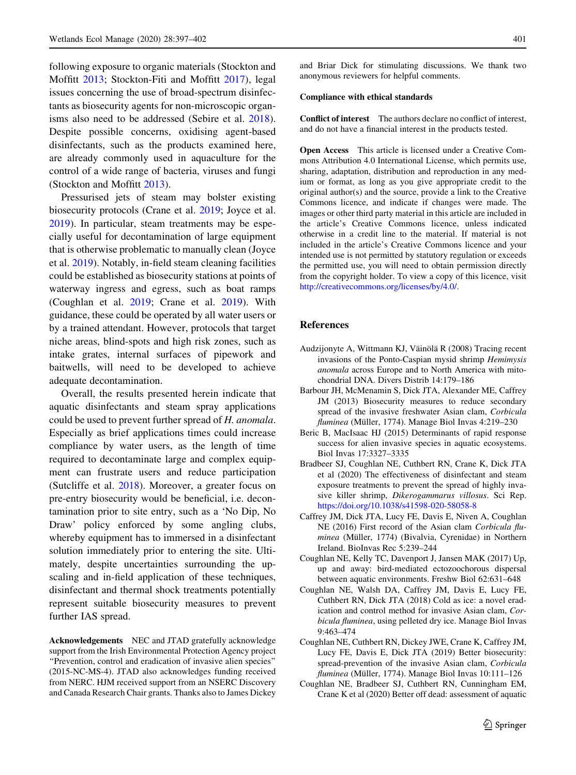<span id="page-4-0"></span>following exposure to organic materials (Stockton and Moffitt [2013;](#page-5-0) Stockton-Fiti and Moffitt [2017\)](#page-5-0), legal issues concerning the use of broad-spectrum disinfectants as biosecurity agents for non-microscopic organisms also need to be addressed (Sebire et al. [2018](#page-5-0)). Despite possible concerns, oxidising agent-based disinfectants, such as the products examined here, are already commonly used in aquaculture for the control of a wide range of bacteria, viruses and fungi (Stockton and Moffitt [2013\)](#page-5-0).

Pressurised jets of steam may bolster existing biosecurity protocols (Crane et al. [2019;](#page-5-0) Joyce et al. [2019\)](#page-5-0). In particular, steam treatments may be especially useful for decontamination of large equipment that is otherwise problematic to manually clean (Joyce et al. [2019\)](#page-5-0). Notably, in-field steam cleaning facilities could be established as biosecurity stations at points of waterway ingress and egress, such as boat ramps (Coughlan et al. 2019; Crane et al. [2019\)](#page-5-0). With guidance, these could be operated by all water users or by a trained attendant. However, protocols that target niche areas, blind-spots and high risk zones, such as intake grates, internal surfaces of pipework and baitwells, will need to be developed to achieve adequate decontamination.

Overall, the results presented herein indicate that aquatic disinfectants and steam spray applications could be used to prevent further spread of H. anomala. Especially as brief applications times could increase compliance by water users, as the length of time required to decontaminate large and complex equipment can frustrate users and reduce participation (Sutcliffe et al. [2018](#page-5-0)). Moreover, a greater focus on pre-entry biosecurity would be beneficial, i.e. decontamination prior to site entry, such as a 'No Dip, No Draw' policy enforced by some angling clubs, whereby equipment has to immersed in a disinfectant solution immediately prior to entering the site. Ultimately, despite uncertainties surrounding the upscaling and in-field application of these techniques, disinfectant and thermal shock treatments potentially represent suitable biosecurity measures to prevent further IAS spread.

Acknowledgements NEC and JTAD gratefully acknowledge support from the Irish Environmental Protection Agency project ''Prevention, control and eradication of invasive alien species'' (2015-NC-MS-4). JTAD also acknowledges funding received from NERC. HJM received support from an NSERC Discovery and Canada Research Chair grants. Thanks also to James Dickey and Briar Dick for stimulating discussions. We thank two anonymous reviewers for helpful comments.

## Compliance with ethical standards

Conflict of interest The authors declare no conflict of interest, and do not have a financial interest in the products tested.

Open Access This article is licensed under a Creative Commons Attribution 4.0 International License, which permits use, sharing, adaptation, distribution and reproduction in any medium or format, as long as you give appropriate credit to the original author(s) and the source, provide a link to the Creative Commons licence, and indicate if changes were made. The images or other third party material in this article are included in the article's Creative Commons licence, unless indicated otherwise in a credit line to the material. If material is not included in the article's Creative Commons licence and your intended use is not permitted by statutory regulation or exceeds the permitted use, you will need to obtain permission directly from the copyright holder. To view a copy of this licence, visit <http://creativecommons.org/licenses/by/4.0/>.

### References

- Audzijonyte A, Wittmann KJ, Väinölä R (2008) Tracing recent invasions of the Ponto-Caspian mysid shrimp Hemimysis anomala across Europe and to North America with mitochondrial DNA. Divers Distrib 14:179–186
- Barbour JH, McMenamin S, Dick JTA, Alexander ME, Caffrey JM (2013) Biosecurity measures to reduce secondary spread of the invasive freshwater Asian clam, Corbicula fluminea (Müller, 1774). Manage Biol Invas 4:219-230
- Beric B, MacIsaac HJ (2015) Determinants of rapid response success for alien invasive species in aquatic ecosystems. Biol Invas 17:3327–3335
- Bradbeer SJ, Coughlan NE, Cuthbert RN, Crane K, Dick JTA et al (2020) The effectiveness of disinfectant and steam exposure treatments to prevent the spread of highly invasive killer shrimp, Dikerogammarus villosus. Sci Rep. <https://doi.org/10.1038/s41598-020-58058-8>
- Caffrey JM, Dick JTA, Lucy FE, Davis E, Niven A, Coughlan NE (2016) First record of the Asian clam Corbicula fluminea (Müller, 1774) (Bivalvia, Cyrenidae) in Northern Ireland. BioInvas Rec 5:239–244
- Coughlan NE, Kelly TC, Davenport J, Jansen MAK (2017) Up, up and away: bird-mediated ectozoochorous dispersal between aquatic environments. Freshw Biol 62:631–648
- Coughlan NE, Walsh DA, Caffrey JM, Davis E, Lucy FE, Cuthbert RN, Dick JTA (2018) Cold as ice: a novel eradication and control method for invasive Asian clam, Corbicula fluminea, using pelleted dry ice. Manage Biol Invas 9:463–474
- Coughlan NE, Cuthbert RN, Dickey JWE, Crane K, Caffrey JM, Lucy FE, Davis E, Dick JTA (2019) Better biosecurity: spread-prevention of the invasive Asian clam, Corbicula  $fluminea$  (Müller, 1774). Manage Biol Invas  $10:111-126$
- Coughlan NE, Bradbeer SJ, Cuthbert RN, Cunningham EM, Crane K et al (2020) Better off dead: assessment of aquatic